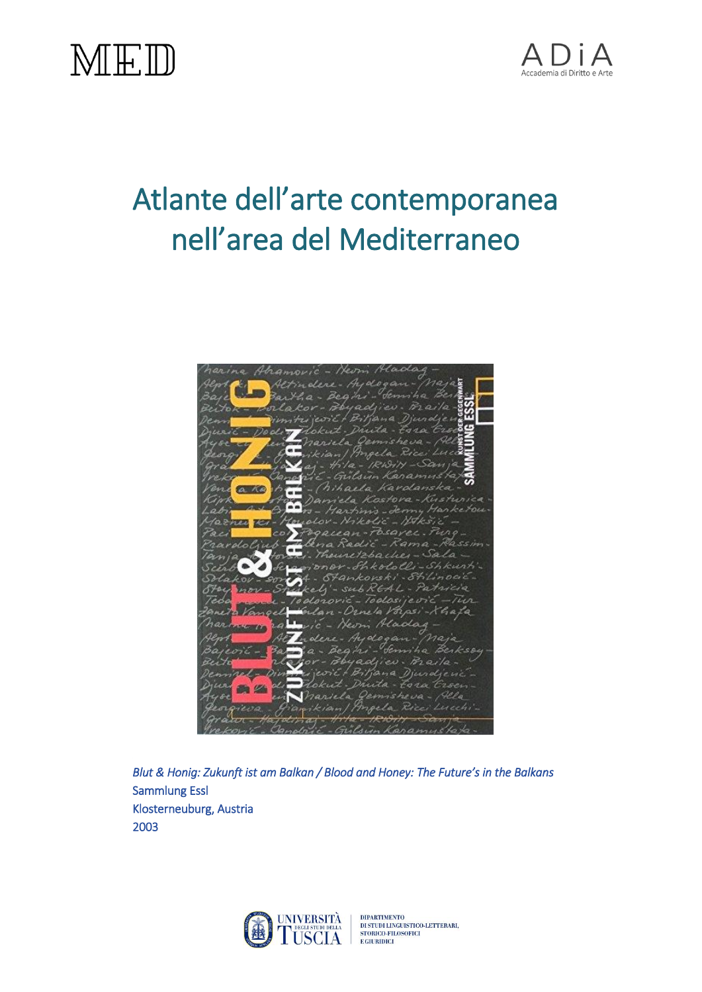



## Atlante dell'arte contemporanea nell'area del Mediterraneo



*Blut & Honig: Zukunft ist am Balkan / Blood and Honey: The Future's in the Balkans*  Sammlung Essl Klosterneuburg, Austria 2003



DIPARTIMENTO<br>DI STUDI LINGUISTICO-LETTERARI,<br>STORICO-FILOSOFICI<br>E GIURIDICI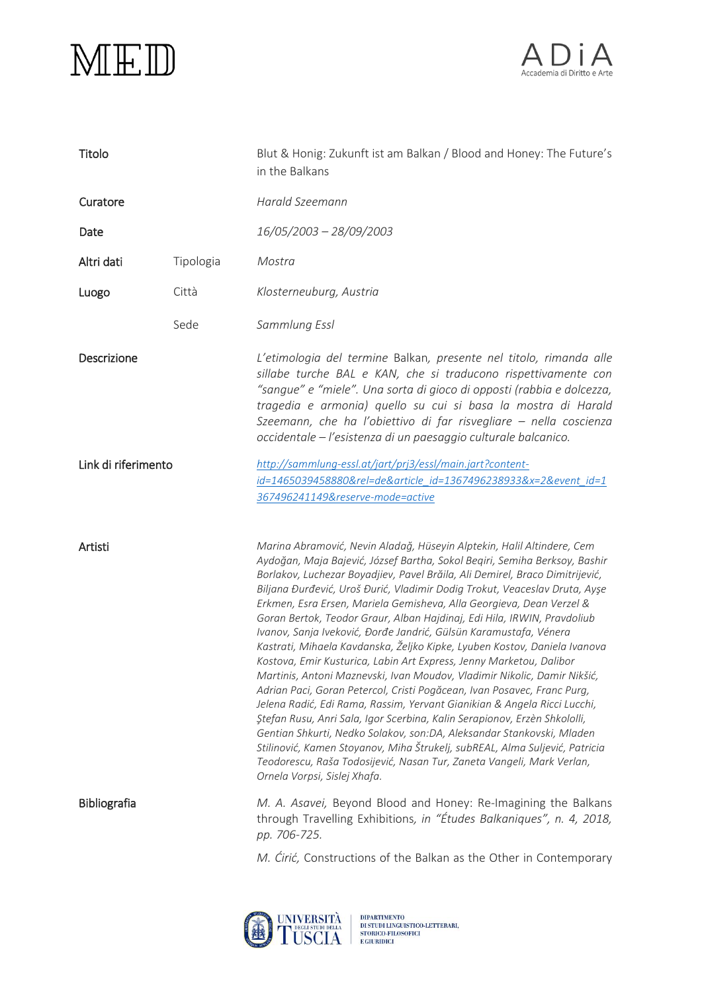



| Titolo              |           | Blut & Honig: Zukunft ist am Balkan / Blood and Honey: The Future's<br>in the Balkans                                                                                                                                                                                                                                                                                                                                                                                                                                                                                                                                                                                                                                                                                                                                                                                                                                                                                                                                                                                                                                                                                                                                                                                           |
|---------------------|-----------|---------------------------------------------------------------------------------------------------------------------------------------------------------------------------------------------------------------------------------------------------------------------------------------------------------------------------------------------------------------------------------------------------------------------------------------------------------------------------------------------------------------------------------------------------------------------------------------------------------------------------------------------------------------------------------------------------------------------------------------------------------------------------------------------------------------------------------------------------------------------------------------------------------------------------------------------------------------------------------------------------------------------------------------------------------------------------------------------------------------------------------------------------------------------------------------------------------------------------------------------------------------------------------|
| Curatore            |           | Harald Szeemann                                                                                                                                                                                                                                                                                                                                                                                                                                                                                                                                                                                                                                                                                                                                                                                                                                                                                                                                                                                                                                                                                                                                                                                                                                                                 |
| Date                |           | 16/05/2003 - 28/09/2003                                                                                                                                                                                                                                                                                                                                                                                                                                                                                                                                                                                                                                                                                                                                                                                                                                                                                                                                                                                                                                                                                                                                                                                                                                                         |
| Altri dati          | Tipologia | Mostra                                                                                                                                                                                                                                                                                                                                                                                                                                                                                                                                                                                                                                                                                                                                                                                                                                                                                                                                                                                                                                                                                                                                                                                                                                                                          |
| Luogo               | Città     | Klosterneuburg, Austria                                                                                                                                                                                                                                                                                                                                                                                                                                                                                                                                                                                                                                                                                                                                                                                                                                                                                                                                                                                                                                                                                                                                                                                                                                                         |
|                     | Sede      | Sammlung Essl                                                                                                                                                                                                                                                                                                                                                                                                                                                                                                                                                                                                                                                                                                                                                                                                                                                                                                                                                                                                                                                                                                                                                                                                                                                                   |
| Descrizione         |           | L'etimologia del termine Balkan, presente nel titolo, rimanda alle<br>sillabe turche BAL e KAN, che si traducono rispettivamente con<br>"sangue" e "miele". Una sorta di gioco di opposti (rabbia e dolcezza,<br>tragedia e armonia) quello su cui si basa la mostra di Harald<br>Szeemann, che ha l'obiettivo di far risvegliare - nella coscienza<br>occidentale – l'esistenza di un paesaggio culturale balcanico.                                                                                                                                                                                                                                                                                                                                                                                                                                                                                                                                                                                                                                                                                                                                                                                                                                                           |
| Link di riferimento |           | http://sammlung-essl.at/jart/prj3/essl/main.jart?content-                                                                                                                                                                                                                                                                                                                                                                                                                                                                                                                                                                                                                                                                                                                                                                                                                                                                                                                                                                                                                                                                                                                                                                                                                       |
|                     |           | id=1465039458880&rel=de&article_id=1367496238933&x=2&event_id=1                                                                                                                                                                                                                                                                                                                                                                                                                                                                                                                                                                                                                                                                                                                                                                                                                                                                                                                                                                                                                                                                                                                                                                                                                 |
|                     |           | 367496241149&reserve-mode=active                                                                                                                                                                                                                                                                                                                                                                                                                                                                                                                                                                                                                                                                                                                                                                                                                                                                                                                                                                                                                                                                                                                                                                                                                                                |
| Artisti             |           | Marina Abramović, Nevin Aladağ, Hüseyin Alptekin, Halil Altindere, Cem<br>Aydoğan, Maja Bajević, József Bartha, Sokol Beqiri, Semiha Berksoy, Bashir<br>Borlakov, Luchezar Boyadjiev, Pavel Brăila, Ali Demirel, Braco Dimitrijević,<br>Biljana Đurđević, Uroš Đurić, Vladimir Dodig Trokut, Veaceslav Druta, Ayşe<br>Erkmen, Esra Ersen, Mariela Gemisheva, Alla Georgieva, Dean Verzel &<br>Goran Bertok, Teodor Graur, Alban Hajdinaj, Edi Hila, IRWIN, Pravdoliub<br>Ivanov, Sanja Iveković, Đorđe Jandrić, Gülsün Karamustafa, Vénera<br>Kastrati, Mihaela Kavdanska, Željko Kipke, Lyuben Kostov, Daniela Ivanova<br>Kostova, Emir Kusturica, Labin Art Express, Jenny Marketou, Dalibor<br>Martinis, Antoni Maznevski, Ivan Moudov, Vladimir Nikolic, Damir Nikšić,<br>Adrian Paci, Goran Petercol, Cristi Pogăcean, Ivan Posavec, Franc Purg,<br>Jelena Radić, Edi Rama, Rassim, Yervant Gianikian & Angela Ricci Lucchi,<br>Ştefan Rusu, Anri Sala, Igor Scerbina, Kalin Serapionov, Erzèn Shkololli,<br>Gentian Shkurti, Nedko Solakov, son:DA, Aleksandar Stankovski, Mladen<br>Stilinović, Kamen Stoyanov, Miha Štrukelj, subREAL, Alma Suljević, Patricia<br>Teodorescu, Raša Todosijević, Nasan Tur, Zaneta Vangeli, Mark Verlan,<br>Ornela Vorpsi, Sislej Xhafa. |
| <b>Bibliografia</b> |           | M. A. Asavei, Beyond Blood and Honey: Re-Imagining the Balkans<br>through Travelling Exhibitions, in "Études Balkaniques", n. 4, 2018,<br>pp. 706-725.                                                                                                                                                                                                                                                                                                                                                                                                                                                                                                                                                                                                                                                                                                                                                                                                                                                                                                                                                                                                                                                                                                                          |
|                     |           | M. Ćirić, Constructions of the Balkan as the Other in Contemporary                                                                                                                                                                                                                                                                                                                                                                                                                                                                                                                                                                                                                                                                                                                                                                                                                                                                                                                                                                                                                                                                                                                                                                                                              |